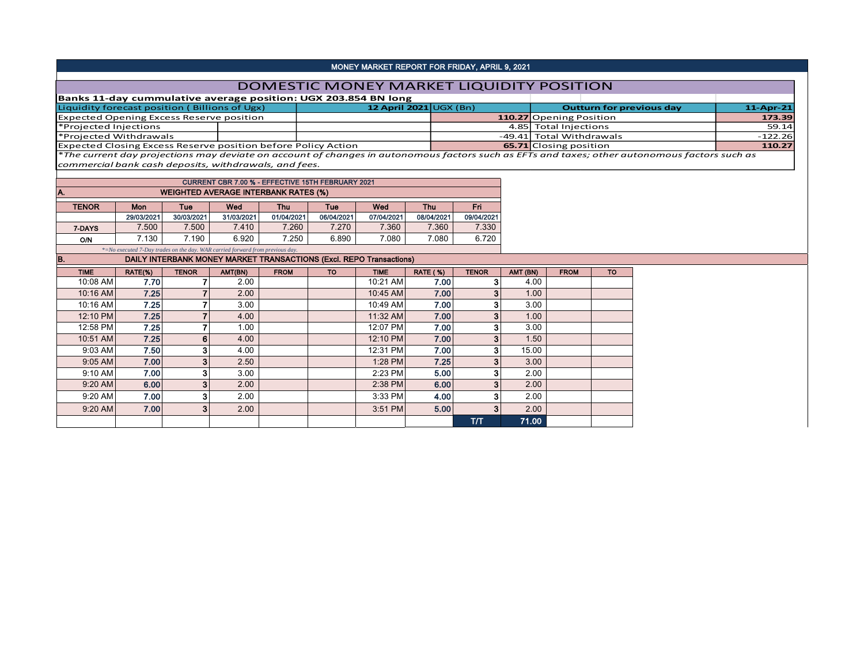## MONEY MARKET REPORT FOR FRIDAY, APRIL 9, 2021

## DOMESTIC MONEY MARKET LIQUIDITY POSITION

| Banks 11-day cummulative average position: UGX 203.854 BN long |                              |                               |                                 |              |
|----------------------------------------------------------------|------------------------------|-------------------------------|---------------------------------|--------------|
| Liquidity forecast position (Billions of Ugx)                  | 12 April 2021 $\cup$ GX (Bn) |                               | <b>Outturn for previous day</b> | $11$ -Apr-21 |
| <b>Expected Opening Excess Reserve position</b>                |                              | 110.27 Opening Position       |                                 | 173.39       |
| *Projected Injections                                          |                              | 4.85 Total Iniections         |                                 | 59.14        |
| *Projected Withdrawals                                         |                              | -49.41 Total Withdrawals      |                                 | -122.26      |
| Expected Closing Excess Reserve position before Policy Action  |                              | <b>65.71</b> Closing position |                                 | 110.27       |

\**The current day projections may deviate on account of changes in autonomous factors such as EFTs and taxes; other autonomous factors such as commercial bank cash deposits, withdrawals, and fees.*

|              |                                                                                       |            |            | <b>CURRENT CBR 7.00 % - EFFECTIVE 15TH FEBRUARY 2021</b> |            |            |            |            |
|--------------|---------------------------------------------------------------------------------------|------------|------------|----------------------------------------------------------|------------|------------|------------|------------|
| IA.          |                                                                                       |            |            | <b>WEIGHTED AVERAGE INTERBANK RATES (%)</b>              |            |            |            |            |
| <b>TENOR</b> | Mon                                                                                   | Tue        | Wed        | Thu                                                      | Tue        | Wed        | <b>Thu</b> | Fri        |
|              | 29/03/2021                                                                            |            | 31/03/2021 |                                                          |            |            | 08/04/2021 |            |
|              |                                                                                       | 30/03/2021 |            | 01/04/2021                                               | 06/04/2021 | 07/04/2021 |            | 09/04/2021 |
| 7-DAYS       | 7.500                                                                                 | 7.500      | 7.410      | 7.260                                                    | 7.270      | 7.360      | 7.360      | 7.330      |
| O/N          | 7.130                                                                                 | 7.190      | 6.920      | 7.250                                                    | 6.890      | 7.080      | 7.080      | 6.720      |
|              | $\approx$ No executed 7-Day trades on the day. WAR carried forward from previous day. |            |            |                                                          |            |            |            |            |

## B. DAILY INTERBANK MONEY MARKET TRANSACTIONS (Excl. REPO Transactions)

| <b>TIME</b> | RATE(%) | <b>TENOR</b>   | AMT(BN) | <b>FROM</b> | <b>TO</b> | <b>TIME</b> | <b>RATE (%)</b> | <b>TENOR</b> | AMT (BN) | <b>FROM</b> | <b>TO</b> |
|-------------|---------|----------------|---------|-------------|-----------|-------------|-----------------|--------------|----------|-------------|-----------|
| 10:08 AM    | 7.70    |                | 2.00    |             |           | 10:21 AM    | 7.00            | 3            | 4.00     |             |           |
| 10:16 AM    | 7.25    |                | 2.00    |             |           | 10:45 AM    | 7.00            | 3            | 1.00     |             |           |
| 10:16 AM    | 7.25    |                | 3.00    |             |           | 10:49 AM    | 7.00            | 3            | 3.00     |             |           |
| 12:10 PM    | 7.25    | -              | 4.00    |             |           | 11:32 AM    | 7.00            | 3            | 1.00     |             |           |
| 12:58 PM    | 7.25    |                | 1.00    |             |           | 12:07 PM    | 7.00            | 3            | 3.00     |             |           |
| 10:51 AM    | 7.25    | $6 \mid$       | 4.00    |             |           | 12:10 PM    | 7.00            | 3            | 1.50     |             |           |
| 9:03 AM     | 7.50    | 3              | 4.00    |             |           | 12:31 PM    | 7.00            | з            | 15.00    |             |           |
| $9:05$ AM   | 7.00    | 3              | 2.50    |             |           | 1:28 PM     | 7.25            | 3            | 3.00     |             |           |
| 9:10 AM     | 7.00    | 3              | 3.00    |             |           | 2:23 PM     | 5.00            | 3            | 2.00     |             |           |
| 9:20 AM     | 6.00    | 3 <sub>l</sub> | 2.00    |             |           | 2:38 PM     | 6.00            | 3            | 2.00     |             |           |
| 9:20 AM     | 7.00    | 3              | 2.00    |             |           | 3:33 PM     | 4.00            | 3            | 2.00     |             |           |
| 9:20 AM     | 7.00    | 3 <sup>1</sup> | 2.00    |             |           | 3:51 PM     | 5.00            | 3            | 2.00     |             |           |
|             |         |                |         |             |           |             |                 | тл           | 71.00    |             |           |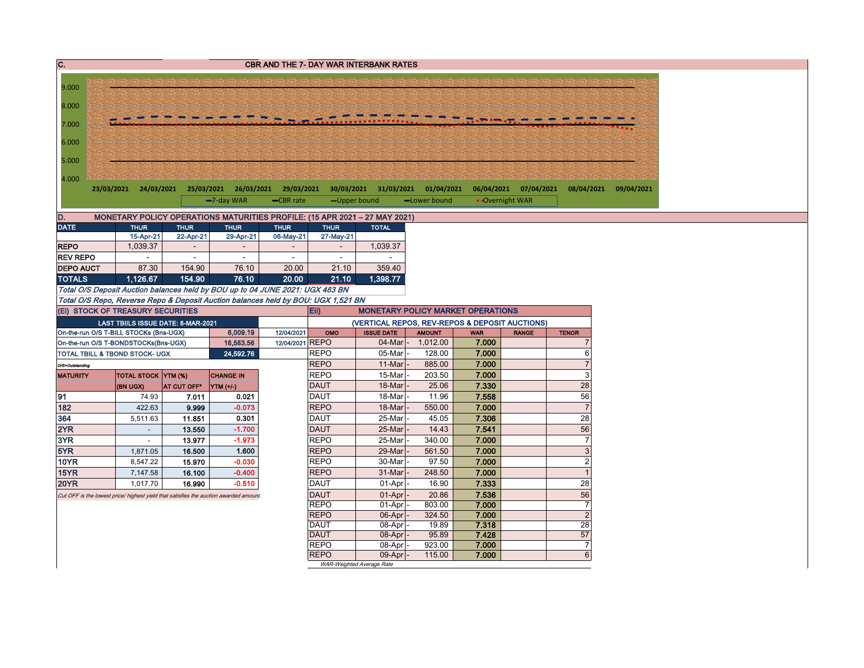| $\overline{c}$ .                                                     |                                                                                                                                                                                                                                                                                                                                                                                                                                                                                                                                                                                                                                                                                                                                                                                                                                                                                                                                                                                                                                                                                                                                                               |           |           |                 |                            | CBR AND THE 7- DAY WAR INTERBANK RATES                              |                 |                |                       |                       |
|----------------------------------------------------------------------|---------------------------------------------------------------------------------------------------------------------------------------------------------------------------------------------------------------------------------------------------------------------------------------------------------------------------------------------------------------------------------------------------------------------------------------------------------------------------------------------------------------------------------------------------------------------------------------------------------------------------------------------------------------------------------------------------------------------------------------------------------------------------------------------------------------------------------------------------------------------------------------------------------------------------------------------------------------------------------------------------------------------------------------------------------------------------------------------------------------------------------------------------------------|-----------|-----------|-----------------|----------------------------|---------------------------------------------------------------------|-----------------|----------------|-----------------------|-----------------------|
|                                                                      |                                                                                                                                                                                                                                                                                                                                                                                                                                                                                                                                                                                                                                                                                                                                                                                                                                                                                                                                                                                                                                                                                                                                                               |           |           |                 |                            |                                                                     |                 |                |                       |                       |
| 9.000                                                                |                                                                                                                                                                                                                                                                                                                                                                                                                                                                                                                                                                                                                                                                                                                                                                                                                                                                                                                                                                                                                                                                                                                                                               |           |           |                 |                            |                                                                     |                 |                |                       |                       |
| 8.000                                                                |                                                                                                                                                                                                                                                                                                                                                                                                                                                                                                                                                                                                                                                                                                                                                                                                                                                                                                                                                                                                                                                                                                                                                               |           |           |                 |                            |                                                                     |                 |                |                       |                       |
|                                                                      |                                                                                                                                                                                                                                                                                                                                                                                                                                                                                                                                                                                                                                                                                                                                                                                                                                                                                                                                                                                                                                                                                                                                                               |           |           |                 |                            |                                                                     |                 |                |                       |                       |
| 7.000                                                                |                                                                                                                                                                                                                                                                                                                                                                                                                                                                                                                                                                                                                                                                                                                                                                                                                                                                                                                                                                                                                                                                                                                                                               |           |           |                 |                            |                                                                     |                 |                |                       |                       |
| 6.000                                                                |                                                                                                                                                                                                                                                                                                                                                                                                                                                                                                                                                                                                                                                                                                                                                                                                                                                                                                                                                                                                                                                                                                                                                               |           |           |                 |                            |                                                                     |                 |                |                       |                       |
|                                                                      |                                                                                                                                                                                                                                                                                                                                                                                                                                                                                                                                                                                                                                                                                                                                                                                                                                                                                                                                                                                                                                                                                                                                                               |           |           |                 |                            |                                                                     |                 |                |                       |                       |
| 5.000                                                                |                                                                                                                                                                                                                                                                                                                                                                                                                                                                                                                                                                                                                                                                                                                                                                                                                                                                                                                                                                                                                                                                                                                                                               |           |           |                 |                            |                                                                     |                 |                |                       |                       |
|                                                                      |                                                                                                                                                                                                                                                                                                                                                                                                                                                                                                                                                                                                                                                                                                                                                                                                                                                                                                                                                                                                                                                                                                                                                               |           |           |                 |                            |                                                                     |                 |                |                       |                       |
|                                                                      |                                                                                                                                                                                                                                                                                                                                                                                                                                                                                                                                                                                                                                                                                                                                                                                                                                                                                                                                                                                                                                                                                                                                                               |           |           |                 |                            |                                                                     |                 |                | 06/04/2021 07/04/2021 | 08/04/2021 09/04/2021 |
|                                                                      |                                                                                                                                                                                                                                                                                                                                                                                                                                                                                                                                                                                                                                                                                                                                                                                                                                                                                                                                                                                                                                                                                                                                                               |           |           | -CBR rate       | -Upper bound               |                                                                     | -Lower bound    |                | • Overnight WAR       |                       |
| D.                                                                   |                                                                                                                                                                                                                                                                                                                                                                                                                                                                                                                                                                                                                                                                                                                                                                                                                                                                                                                                                                                                                                                                                                                                                               |           |           |                 |                            |                                                                     |                 |                |                       |                       |
| <b>DATE</b>                                                          |                                                                                                                                                                                                                                                                                                                                                                                                                                                                                                                                                                                                                                                                                                                                                                                                                                                                                                                                                                                                                                                                                                                                                               |           |           | <b>THUR</b>     | <b>THUR</b>                | <b>TOTAL</b>                                                        |                 |                |                       |                       |
|                                                                      | 15-Apr-21                                                                                                                                                                                                                                                                                                                                                                                                                                                                                                                                                                                                                                                                                                                                                                                                                                                                                                                                                                                                                                                                                                                                                     | 22-Apr-21 | 29-Apr-21 | 06-May-21       | 27-May-21                  |                                                                     |                 |                |                       |                       |
| <b>REPO</b>                                                          | 1,039.37                                                                                                                                                                                                                                                                                                                                                                                                                                                                                                                                                                                                                                                                                                                                                                                                                                                                                                                                                                                                                                                                                                                                                      |           |           |                 |                            | 1,039.37                                                            |                 |                |                       |                       |
| <b>REV REPO</b>                                                      |                                                                                                                                                                                                                                                                                                                                                                                                                                                                                                                                                                                                                                                                                                                                                                                                                                                                                                                                                                                                                                                                                                                                                               |           | $\sim$    |                 | ÷                          |                                                                     |                 |                |                       |                       |
| <b>DEPO AUCT</b>                                                     | 87.30                                                                                                                                                                                                                                                                                                                                                                                                                                                                                                                                                                                                                                                                                                                                                                                                                                                                                                                                                                                                                                                                                                                                                         | 154.90    | 76.10     | 20.00           | 21.10                      | 359.40                                                              |                 |                |                       |                       |
| <b>TOTALS</b>                                                        |                                                                                                                                                                                                                                                                                                                                                                                                                                                                                                                                                                                                                                                                                                                                                                                                                                                                                                                                                                                                                                                                                                                                                               |           |           | 20.00           | 21.10                      | 1,398.77                                                            |                 |                |                       |                       |
|                                                                      |                                                                                                                                                                                                                                                                                                                                                                                                                                                                                                                                                                                                                                                                                                                                                                                                                                                                                                                                                                                                                                                                                                                                                               |           |           |                 |                            |                                                                     |                 |                |                       |                       |
|                                                                      |                                                                                                                                                                                                                                                                                                                                                                                                                                                                                                                                                                                                                                                                                                                                                                                                                                                                                                                                                                                                                                                                                                                                                               |           |           |                 |                            |                                                                     |                 |                |                       |                       |
|                                                                      |                                                                                                                                                                                                                                                                                                                                                                                                                                                                                                                                                                                                                                                                                                                                                                                                                                                                                                                                                                                                                                                                                                                                                               |           |           |                 | Eii)                       | <b>MONETARY POLICY MARKET OPERATIONS</b>                            |                 |                |                       |                       |
|                                                                      |                                                                                                                                                                                                                                                                                                                                                                                                                                                                                                                                                                                                                                                                                                                                                                                                                                                                                                                                                                                                                                                                                                                                                               |           |           | 12/04/2021      | OMO                        | (VERTICAL REPOS, REV-REPOS & DEPOSIT AUCTIONS)<br><b>ISSUE DATE</b> | <b>AMOUNT</b>   | <b>WAR</b>     | <b>RANGE</b>          | <b>TENOR</b>          |
|                                                                      |                                                                                                                                                                                                                                                                                                                                                                                                                                                                                                                                                                                                                                                                                                                                                                                                                                                                                                                                                                                                                                                                                                                                                               |           |           | 12/04/2021 REPO |                            | 04-Mar                                                              | 1,012.00        | 7.000          |                       | $\overline{7}$        |
|                                                                      | 4.000<br>25/03/2021 26/03/2021 29/03/2021 30/03/2021 31/03/2021 01/04/2021<br>23/03/2021 24/03/2021<br>-7-day WAR<br>MONETARY POLICY OPERATIONS MATURITIES PROFILE: (15 APR 2021 - 27 MAY 2021)<br><b>THUR</b><br><b>THUR</b><br><b>THUR</b><br>1,126.67<br>154.90<br>76.10<br>Total O/S Deposit Auction balances held by BOU up to 04 JUNE 2021: UGX 483 BN<br>Total O/S Repo, Reverse Repo & Deposit Auction balances held by BOU: UGX 1,521 BN<br>(Ei) STOCK OF TREASURY SECURITIES<br><b>LAST TBIILS ISSUE DATE: 8-MAR-2021</b><br>On-the-run O/S T-BILL STOCKs (Bns-UGX)<br>6,009.19<br>On-the-run O/S T-BONDSTOCKs(Bns-UGX)<br>18,583.56<br>24,592.76<br><b>TOTAL STOCK YTM (%)</b><br><b>CHANGE IN</b><br>(BN UGX)<br>AT CUT OFF*<br>YTM (+/-)<br>74.93<br>0.021<br>7.011<br>$-0.073$<br>422.63<br>9.999<br>0.301<br>5,511.63<br>11.851<br>13.550<br>$-1.700$<br>$\overline{\phantom{a}}$<br>13.977<br>$-1.973$<br>$\sim$<br>1.600<br>16.500<br>1,871.05<br>15.970<br>$-0.030$<br>8,547.22<br>$-0.400$<br>7,147.58<br>16.100<br>$-0.510$<br>1,017.70<br>16.990<br>Cut OFF is the lowest price/ highest yield that satisfies the auction awarded amount |           |           | <b>REPO</b>     | 05-Mar                     | 128.00                                                              | 7.000           |                | 6                     |                       |
| TOTAL TBILL & TBOND STOCK- UGX<br>O/S=Outstanding<br><b>MATURITY</b> |                                                                                                                                                                                                                                                                                                                                                                                                                                                                                                                                                                                                                                                                                                                                                                                                                                                                                                                                                                                                                                                                                                                                                               |           |           |                 | <b>REPO</b>                | 11-Mar                                                              | 885.00          | 7.000          |                       | $\overline{7}$        |
|                                                                      |                                                                                                                                                                                                                                                                                                                                                                                                                                                                                                                                                                                                                                                                                                                                                                                                                                                                                                                                                                                                                                                                                                                                                               |           |           |                 | <b>REPO</b>                | 15-Mar                                                              | 203.50          | 7.000          |                       | 3                     |
|                                                                      |                                                                                                                                                                                                                                                                                                                                                                                                                                                                                                                                                                                                                                                                                                                                                                                                                                                                                                                                                                                                                                                                                                                                                               |           |           |                 | <b>DAUT</b>                | 18-Mar                                                              | 25.06           | 7.330          |                       | 28                    |
| 91                                                                   |                                                                                                                                                                                                                                                                                                                                                                                                                                                                                                                                                                                                                                                                                                                                                                                                                                                                                                                                                                                                                                                                                                                                                               |           |           |                 | <b>DAUT</b>                | 18-Mar                                                              | 11.96           | 7.558          |                       | 56                    |
| 182                                                                  |                                                                                                                                                                                                                                                                                                                                                                                                                                                                                                                                                                                                                                                                                                                                                                                                                                                                                                                                                                                                                                                                                                                                                               |           |           |                 | <b>REPO</b>                | 18-Mar                                                              | 550.00          | 7.000          |                       | $\overline{7}$        |
| 364                                                                  |                                                                                                                                                                                                                                                                                                                                                                                                                                                                                                                                                                                                                                                                                                                                                                                                                                                                                                                                                                                                                                                                                                                                                               |           |           |                 | <b>DAUT</b>                | 25-Mar                                                              | 45.05           | 7.306          |                       | 28                    |
| 2YR                                                                  |                                                                                                                                                                                                                                                                                                                                                                                                                                                                                                                                                                                                                                                                                                                                                                                                                                                                                                                                                                                                                                                                                                                                                               |           |           |                 | <b>DAUT</b>                | 25-Mar                                                              | 14.43           | 7.541          |                       | 56                    |
| 3YR                                                                  |                                                                                                                                                                                                                                                                                                                                                                                                                                                                                                                                                                                                                                                                                                                                                                                                                                                                                                                                                                                                                                                                                                                                                               |           |           |                 | <b>REPO</b>                | 25-Mar                                                              | 340.00          | 7.000          |                       | $\overline{7}$        |
| 5YR                                                                  |                                                                                                                                                                                                                                                                                                                                                                                                                                                                                                                                                                                                                                                                                                                                                                                                                                                                                                                                                                                                                                                                                                                                                               |           |           |                 | <b>REPO</b>                | 29-Mar                                                              | 561.50          | 7.000          |                       | $\mathbf{3}$          |
| <b>10YR</b>                                                          |                                                                                                                                                                                                                                                                                                                                                                                                                                                                                                                                                                                                                                                                                                                                                                                                                                                                                                                                                                                                                                                                                                                                                               |           |           |                 | <b>REPO</b>                | 30-Mar                                                              | 97.50           | 7.000          |                       | $\overline{2}$        |
| <b>15YR</b>                                                          |                                                                                                                                                                                                                                                                                                                                                                                                                                                                                                                                                                                                                                                                                                                                                                                                                                                                                                                                                                                                                                                                                                                                                               |           |           |                 | <b>REPO</b>                | 31-Mar                                                              | 248.50          | 7.000          |                       | $\overline{1}$<br>28  |
| <b>20YR</b>                                                          |                                                                                                                                                                                                                                                                                                                                                                                                                                                                                                                                                                                                                                                                                                                                                                                                                                                                                                                                                                                                                                                                                                                                                               |           |           |                 | <b>DAUT</b>                | 01-Apr                                                              | 16.90           | 7.333          |                       |                       |
|                                                                      |                                                                                                                                                                                                                                                                                                                                                                                                                                                                                                                                                                                                                                                                                                                                                                                                                                                                                                                                                                                                                                                                                                                                                               |           |           |                 | <b>DAUT</b><br><b>REPO</b> | 01-Apr<br>01-Apr                                                    | 20.86<br>803.00 | 7.536<br>7.000 |                       | 56<br>$\overline{7}$  |
|                                                                      |                                                                                                                                                                                                                                                                                                                                                                                                                                                                                                                                                                                                                                                                                                                                                                                                                                                                                                                                                                                                                                                                                                                                                               |           |           |                 | <b>REPO</b>                | 06-Apr                                                              | 324.50          | 7.000          |                       | $\overline{2}$        |
|                                                                      |                                                                                                                                                                                                                                                                                                                                                                                                                                                                                                                                                                                                                                                                                                                                                                                                                                                                                                                                                                                                                                                                                                                                                               |           |           |                 | <b>DAUT</b>                | 08-Apr                                                              | 19.89           | 7.318          |                       | 28                    |
|                                                                      |                                                                                                                                                                                                                                                                                                                                                                                                                                                                                                                                                                                                                                                                                                                                                                                                                                                                                                                                                                                                                                                                                                                                                               |           |           |                 | <b>DAUT</b>                | 08-Apr                                                              | 95.89           | 7.428          |                       | 57                    |
|                                                                      |                                                                                                                                                                                                                                                                                                                                                                                                                                                                                                                                                                                                                                                                                                                                                                                                                                                                                                                                                                                                                                                                                                                                                               |           |           |                 | <b>REPO</b>                | 08-Apr                                                              | 923.00          | 7.000          |                       | $\overline{7}$        |
|                                                                      |                                                                                                                                                                                                                                                                                                                                                                                                                                                                                                                                                                                                                                                                                                                                                                                                                                                                                                                                                                                                                                                                                                                                                               |           |           |                 | <b>REPO</b>                | 09-Apr                                                              | 115.00          | 7.000          |                       | $\overline{6}$        |
|                                                                      |                                                                                                                                                                                                                                                                                                                                                                                                                                                                                                                                                                                                                                                                                                                                                                                                                                                                                                                                                                                                                                                                                                                                                               |           |           |                 | WAR-Weighted Average Rate  |                                                                     |                 |                |                       |                       |